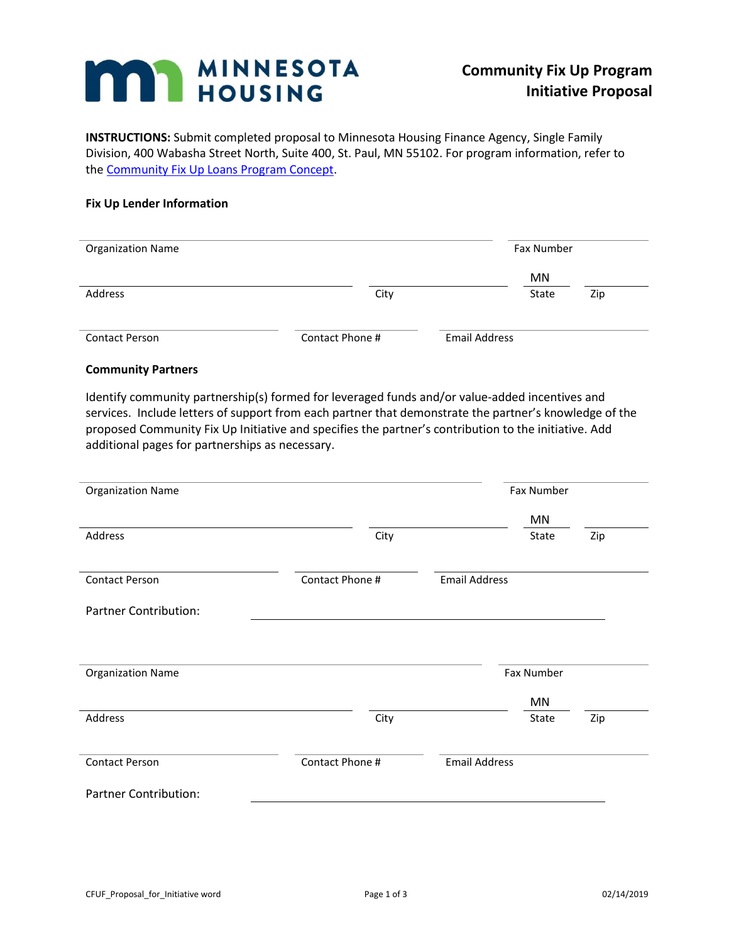# **MARY MINNESOTA**

**INSTRUCTIONS:** Submit completed proposal to Minnesota Housing Finance Agency, Single Family Division, 400 Wabasha Street North, Suite 400, St. Paul, MN 55102. For program information, refer to the Community Fix [Up Loans Program Concept.](http://www.mnhousing.gov/get/MHFA_002298)

## **Fix Up Lender Information**

| <b>Organization Name</b> |                 |               | <b>Fax Number</b> |     |  |
|--------------------------|-----------------|---------------|-------------------|-----|--|
|                          |                 |               | MN                |     |  |
| Address                  | City            |               | State             | Zip |  |
|                          |                 |               |                   |     |  |
| <b>Contact Person</b>    | Contact Phone # | Email Address |                   |     |  |

### **Community Partners**

Identify community partnership(s) formed for leveraged funds and/or value-added incentives and services. Include letters of support from each partner that demonstrate the partner's knowledge of the proposed Community Fix Up Initiative and specifies the partner's contribution to the initiative. Add additional pages for partnerships as necessary.

| <b>Organization Name</b>     |                 | Fax Number           |            |     |  |
|------------------------------|-----------------|----------------------|------------|-----|--|
|                              |                 |                      | MN         |     |  |
| Address                      | City            |                      | State      | Zip |  |
| <b>Contact Person</b>        | Contact Phone # | <b>Email Address</b> |            |     |  |
| <b>Partner Contribution:</b> |                 |                      |            |     |  |
|                              |                 |                      |            |     |  |
| <b>Organization Name</b>     |                 |                      | Fax Number |     |  |
|                              |                 |                      | MN         |     |  |
| Address                      | City            |                      | State      | Zip |  |
| <b>Contact Person</b>        | Contact Phone # | <b>Email Address</b> |            |     |  |
| <b>Partner Contribution:</b> |                 |                      |            |     |  |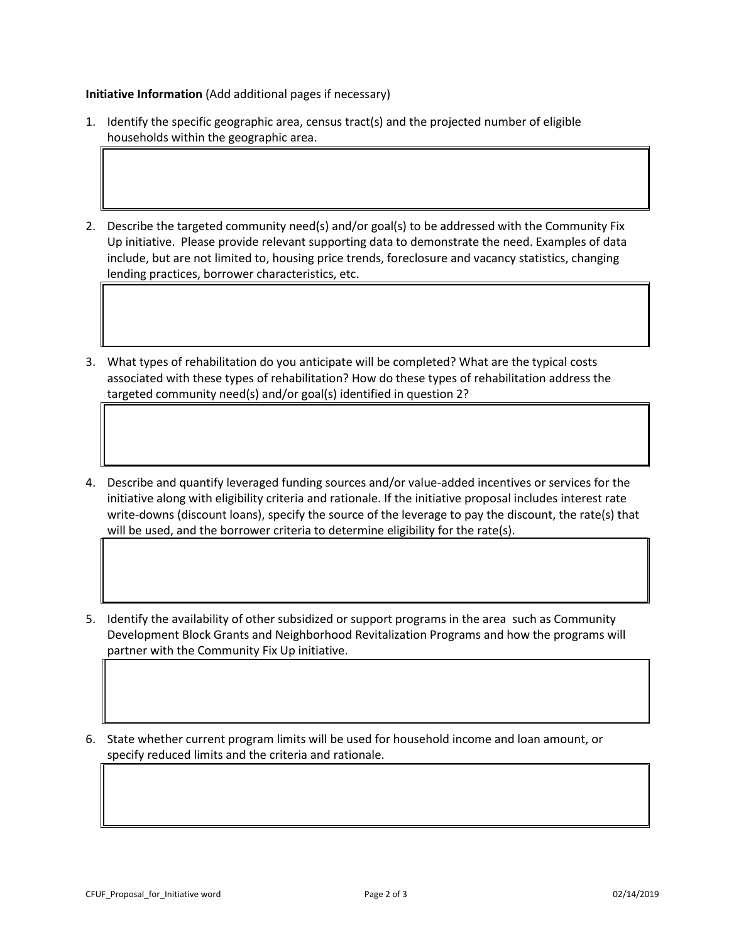**Initiative Information** (Add additional pages if necessary)

- 1. Identify the specific geographic area, census tract(s) and the projected number of eligible households within the geographic area.
- 2. Describe the targeted community need(s) and/or goal(s) to be addressed with the Community Fix Up initiative. Please provide relevant supporting data to demonstrate the need. Examples of data include, but are not limited to, housing price trends, foreclosure and vacancy statistics, changing lending practices, borrower characteristics, etc.
- 3. What types of rehabilitation do you anticipate will be completed? What are the typical costs associated with these types of rehabilitation? How do these types of rehabilitation address the targeted community need(s) and/or goal(s) identified in question 2?
- 4. Describe and quantify leveraged funding sources and/or value-added incentives or services for the initiative along with eligibility criteria and rationale. If the initiative proposal includes interest rate write-downs (discount loans), specify the source of the leverage to pay the discount, the rate(s) that will be used, and the borrower criteria to determine eligibility for the rate(s).
- 5. Identify the availability of other subsidized or support programs in the area such as Community Development Block Grants and Neighborhood Revitalization Programs and how the programs will partner with the Community Fix Up initiative.
- 6. State whether current program limits will be used for household income and loan amount, or specify reduced limits and the criteria and rationale.